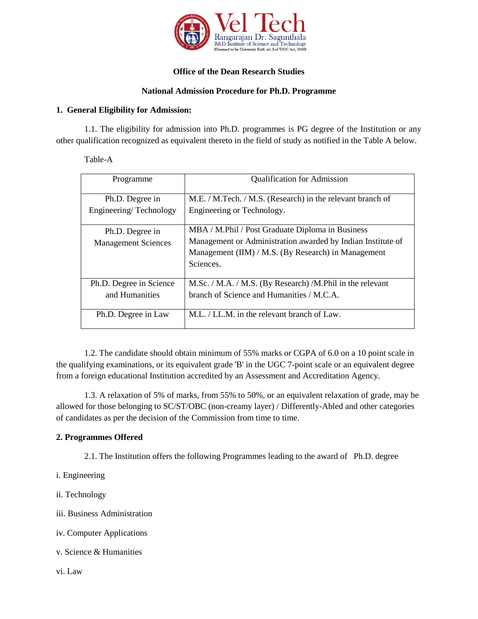

## **Office of the Dean Research Studies**

## **National Admission Procedure for Ph.D. Programme**

### **1. General Eligibility for Admission:**

1.1. The eligibility for admission into Ph.D. programmes is PG degree of the Institution or any other qualification recognized as equivalent thereto in the field of study as notified in the Table A below.

Table-A

| Programme                  | <b>Qualification for Admission</b>                          |
|----------------------------|-------------------------------------------------------------|
| Ph.D. Degree in            | M.E. / M.Tech. / M.S. (Research) in the relevant branch of  |
| Engineering/Technology     | Engineering or Technology.                                  |
| Ph.D. Degree in            | MBA / M.Phil / Post Graduate Diploma in Business            |
| <b>Management Sciences</b> | Management or Administration awarded by Indian Institute of |
|                            | Management (IIM) / M.S. (By Research) in Management         |
|                            | Sciences.                                                   |
| Ph.D. Degree in Science    | M.Sc. / M.A. / M.S. (By Research) /M.Phil in the relevant   |
| and Humanities             | branch of Science and Humanities / M.C.A.                   |
|                            |                                                             |
| Ph.D. Degree in Law        | M.L. / LL.M. in the relevant branch of Law.                 |

1.2. The candidate should obtain minimum of 55% marks or CGPA of 6.0 on a 10 point scale in the qualifying examinations, or its equivalent grade 'B' in the UGC 7-point scale or an equivalent degree from a foreign educational Institution accredited by an Assessment and Accreditation Agency.

1.3. A relaxation of 5% of marks, from 55% to 50%, or an equivalent relaxation of grade, may be allowed for those belonging to SC/ST/OBC (non-creamy layer) / Differently-Abled and other categories of candidates as per the decision of the Commission from time to time.

## **2. Programmes Offered**

2.1. The Institution offers the following Programmes leading to the award of Ph.D. degree

i. Engineering

ii. Technology

iii. Business Administration

iv. Computer Applications

v. Science & Humanities

vi. Law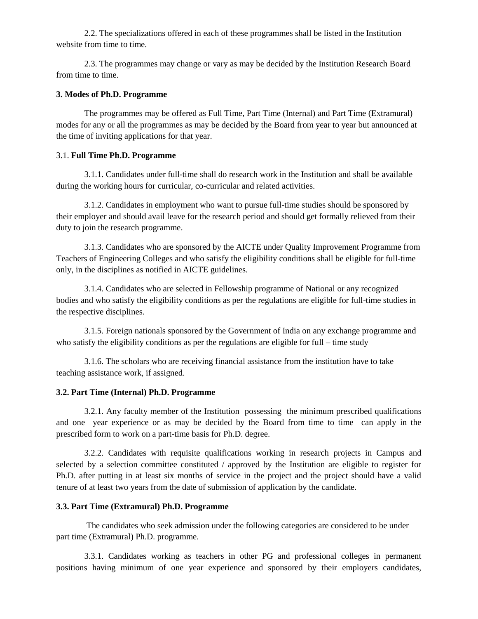2.2. The specializations offered in each of these programmes shall be listed in the Institution website from time to time.

2.3. The programmes may change or vary as may be decided by the Institution Research Board from time to time.

#### **3. Modes of Ph.D. Programme**

The programmes may be offered as Full Time, Part Time (Internal) and Part Time (Extramural) modes for any or all the programmes as may be decided by the Board from year to year but announced at the time of inviting applications for that year.

#### 3.1. **Full Time Ph.D. Programme**

3.1.1. Candidates under full-time shall do research work in the Institution and shall be available during the working hours for curricular, co-curricular and related activities.

3.1.2. Candidates in employment who want to pursue full-time studies should be sponsored by their employer and should avail leave for the research period and should get formally relieved from their duty to join the research programme.

3.1.3. Candidates who are sponsored by the AICTE under Quality Improvement Programme from Teachers of Engineering Colleges and who satisfy the eligibility conditions shall be eligible for full-time only, in the disciplines as notified in AICTE guidelines.

3.1.4. Candidates who are selected in Fellowship programme of National or any recognized bodies and who satisfy the eligibility conditions as per the regulations are eligible for full-time studies in the respective disciplines.

3.1.5. Foreign nationals sponsored by the Government of India on any exchange programme and who satisfy the eligibility conditions as per the regulations are eligible for full – time study

3.1.6. The scholars who are receiving financial assistance from the institution have to take teaching assistance work, if assigned.

#### **3.2. Part Time (Internal) Ph.D. Programme**

3.2.1. Any faculty member of the Institution possessing the minimum prescribed qualifications and one year experience or as may be decided by the Board from time to time can apply in the prescribed form to work on a part-time basis for Ph.D. degree.

3.2.2. Candidates with requisite qualifications working in research projects in Campus and selected by a selection committee constituted / approved by the Institution are eligible to register for Ph.D. after putting in at least six months of service in the project and the project should have a valid tenure of at least two years from the date of submission of application by the candidate.

#### **3.3. Part Time (Extramural) Ph.D. Programme**

The candidates who seek admission under the following categories are considered to be under part time (Extramural) Ph.D. programme.

3.3.1. Candidates working as teachers in other PG and professional colleges in permanent positions having minimum of one year experience and sponsored by their employers candidates,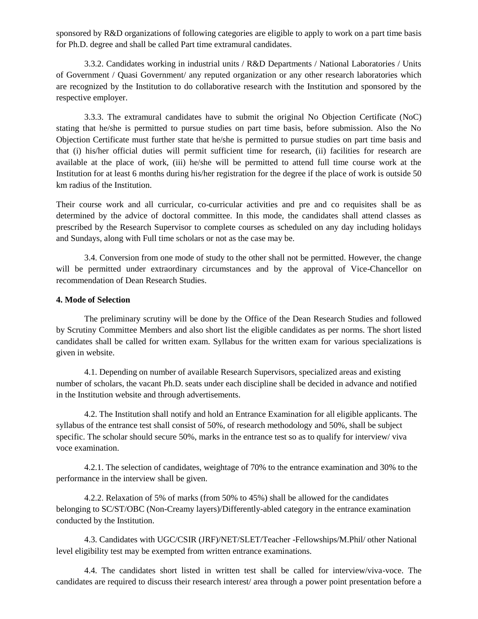sponsored by R&D organizations of following categories are eligible to apply to work on a part time basis for Ph.D. degree and shall be called Part time extramural candidates.

3.3.2. Candidates working in industrial units / R&D Departments / National Laboratories / Units of Government / Quasi Government/ any reputed organization or any other research laboratories which are recognized by the Institution to do collaborative research with the Institution and sponsored by the respective employer.

3.3.3. The extramural candidates have to submit the original No Objection Certificate (NoC) stating that he/she is permitted to pursue studies on part time basis, before submission. Also the No Objection Certificate must further state that he/she is permitted to pursue studies on part time basis and that (i) his/her official duties will permit sufficient time for research, (ii) facilities for research are available at the place of work, (iii) he/she will be permitted to attend full time course work at the Institution for at least 6 months during his/her registration for the degree if the place of work is outside 50 km radius of the Institution.

Their course work and all curricular, co-curricular activities and pre and co requisites shall be as determined by the advice of doctoral committee. In this mode, the candidates shall attend classes as prescribed by the Research Supervisor to complete courses as scheduled on any day including holidays and Sundays, along with Full time scholars or not as the case may be.

3.4. Conversion from one mode of study to the other shall not be permitted. However, the change will be permitted under extraordinary circumstances and by the approval of Vice-Chancellor on recommendation of Dean Research Studies.

### **4. Mode of Selection**

The preliminary scrutiny will be done by the Office of the Dean Research Studies and followed by Scrutiny Committee Members and also short list the eligible candidates as per norms. The short listed candidates shall be called for written exam. Syllabus for the written exam for various specializations is given in website.

4.1. Depending on number of available Research Supervisors, specialized areas and existing number of scholars, the vacant Ph.D. seats under each discipline shall be decided in advance and notified in the Institution website and through advertisements.

4.2. The Institution shall notify and hold an Entrance Examination for all eligible applicants. The syllabus of the entrance test shall consist of 50%, of research methodology and 50%, shall be subject specific. The scholar should secure 50%, marks in the entrance test so as to qualify for interview/ viva voce examination.

4.2.1. The selection of candidates, weightage of 70% to the entrance examination and 30% to the performance in the interview shall be given.

4.2.2. Relaxation of 5% of marks (from 50% to 45%) shall be allowed for the candidates belonging to SC/ST/OBC (Non-Creamy layers)/Differently-abled category in the entrance examination conducted by the Institution.

4.3. Candidates with UGC/CSIR (JRF)/NET/SLET/Teacher -Fellowships/M.Phil/ other National level eligibility test may be exempted from written entrance examinations.

4.4. The candidates short listed in written test shall be called for interview/viva-voce. The candidates are required to discuss their research interest/ area through a power point presentation before a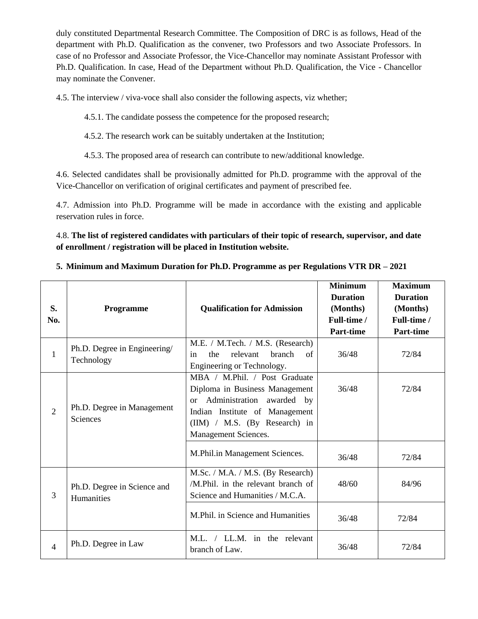duly constituted Departmental Research Committee. The Composition of DRC is as follows, Head of the department with Ph.D. Qualification as the convener, two Professors and two Associate Professors. In case of no Professor and Associate Professor, the Vice-Chancellor may nominate Assistant Professor with Ph.D. Qualification. In case, Head of the Department without Ph.D. Qualification, the Vice - Chancellor may nominate the Convener.

4.5. The interview / viva-voce shall also consider the following aspects, viz whether;

4.5.1. The candidate possess the competence for the proposed research;

4.5.2. The research work can be suitably undertaken at the Institution;

4.5.3. The proposed area of research can contribute to new/additional knowledge.

4.6. Selected candidates shall be provisionally admitted for Ph.D. programme with the approval of the Vice-Chancellor on verification of original certificates and payment of prescribed fee.

4.7. Admission into Ph.D. Programme will be made in accordance with the existing and applicable reservation rules in force.

4.8. **The list of registered candidates with particulars of their topic of research, supervisor, and date of enrollment / registration will be placed in Institution website.**

## **5. Minimum and Maximum Duration for Ph.D. Programme as per Regulations VTR DR – 2021**

| S.<br>No.      | <b>Programme</b>                              | <b>Qualification for Admission</b>                                                                                                                                                            | <b>Minimum</b><br><b>Duration</b><br>(Months)<br>Full-time /<br><b>Part-time</b> | <b>Maximum</b><br><b>Duration</b><br>(Months)<br>Full-time /<br>Part-time |
|----------------|-----------------------------------------------|-----------------------------------------------------------------------------------------------------------------------------------------------------------------------------------------------|----------------------------------------------------------------------------------|---------------------------------------------------------------------------|
| $\mathbf{1}$   | Ph.D. Degree in Engineering/<br>Technology    | M.E. / M.Tech. / M.S. (Research)<br>the<br>relevant<br><b>branch</b><br>of<br>in<br>Engineering or Technology.                                                                                | 36/48                                                                            | 72/84                                                                     |
| $\overline{2}$ | Ph.D. Degree in Management<br><b>Sciences</b> | MBA / M.Phil. / Post Graduate<br>Diploma in Business Management<br>Administration awarded by<br>or<br>Indian Institute of Management<br>(IIM) / M.S. (By Research) in<br>Management Sciences. | 36/48                                                                            | 72/84                                                                     |
|                |                                               | M.Phil.in Management Sciences.                                                                                                                                                                | 36/48                                                                            | 72/84                                                                     |
| 3              | Ph.D. Degree in Science and<br>Humanities     | M.Sc. / M.A. / M.S. (By Research)<br>/M.Phil. in the relevant branch of<br>Science and Humanities / M.C.A.                                                                                    | 48/60                                                                            | 84/96                                                                     |
|                |                                               | M.Phil. in Science and Humanities                                                                                                                                                             | 36/48                                                                            | 72/84                                                                     |
| $\overline{4}$ | Ph.D. Degree in Law                           | M.L. / LL.M. in the relevant<br>branch of Law.                                                                                                                                                | 36/48                                                                            | 72/84                                                                     |